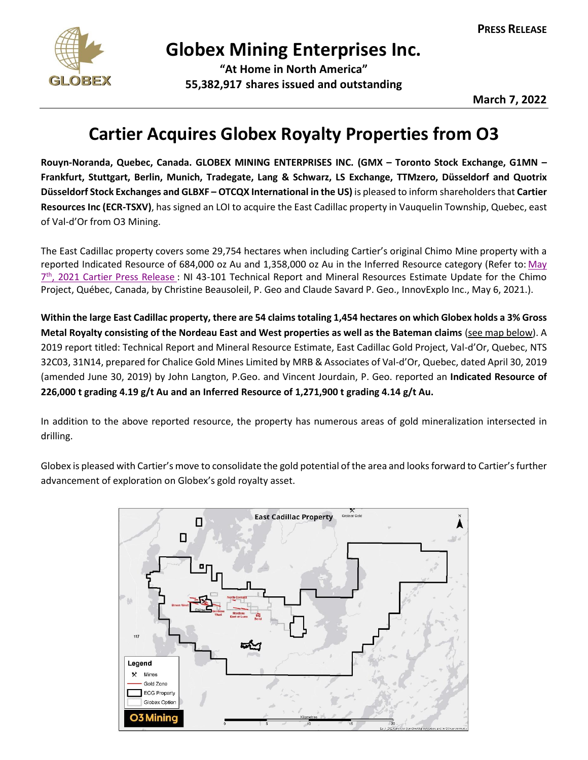

## **Globex Mining Enterprises Inc.**

**"At Home in North America" 55,382,917 shares issued and outstanding**

**March 7, 2022**

## **Cartier Acquires Globex Royalty Properties from O3**

**Rouyn-Noranda, Quebec, Canada. GLOBEX MINING ENTERPRISES INC. (GMX – Toronto Stock Exchange, G1MN – Frankfurt, Stuttgart, Berlin, Munich, Tradegate, Lang & Schwarz, LS Exchange, TTMzero, Düsseldorf and Quotrix Düsseldorf Stock Exchanges and GLBXF – OTCQX International in the US)** is pleased to inform shareholdersthat **Cartier Resources Inc (ECR-TSXV)**, has signed an LOI to acquire the East Cadillac property in Vauquelin Township, Quebec, east of Val-d'Or from O3 Mining.

The East Cadillac property covers some 29,754 hectares when including Cartier's original Chimo Mine property with a reported Indicated Resource of 684,000 oz Au and 1,358,000 oz Au in the Inferred Resource category (Refer to: May 7<sup>th</sup>, [2021 Cartier Press Release](https://ressourcescartier.com/press-releases/cartier-files-on-sedar-the-ni-43-101-technical-report-for-the-mineral-resource-estimate-of-the-chimo-mine-property/): NI 43-101 Technical Report and Mineral Resources Estimate Update for the Chimo Project, Québec, Canada, by Christine Beausoleil, P. Geo and Claude Savard P. Geo., InnovExplo Inc., May 6, 2021.).

**Within the large East Cadillac property, there are 54 claims totaling 1,454 hectares on which Globex holds a 3% Gross Metal Royalty consisting of the Nordeau East and West properties as well as the Bateman claims** (see map below). A 2019 report titled: Technical Report and Mineral Resource Estimate, East Cadillac Gold Project, Val-d'Or, Quebec, NTS 32C03, 31N14, prepared for Chalice Gold Mines Limited by MRB & Associates of Val-d'Or, Quebec, dated April 30, 2019 (amended June 30, 2019) by John Langton, P.Geo. and Vincent Jourdain, P. Geo. reported an **Indicated Resource of 226,000 t grading 4.19 g/t Au and an Inferred Resource of 1,271,900 t grading 4.14 g/t Au.**

In addition to the above reported resource, the property has numerous areas of gold mineralization intersected in drilling.

Globex is pleased with Cartier's move to consolidate the gold potential of the area and looks forward to Cartier's further advancement of exploration on Globex's gold royalty asset.